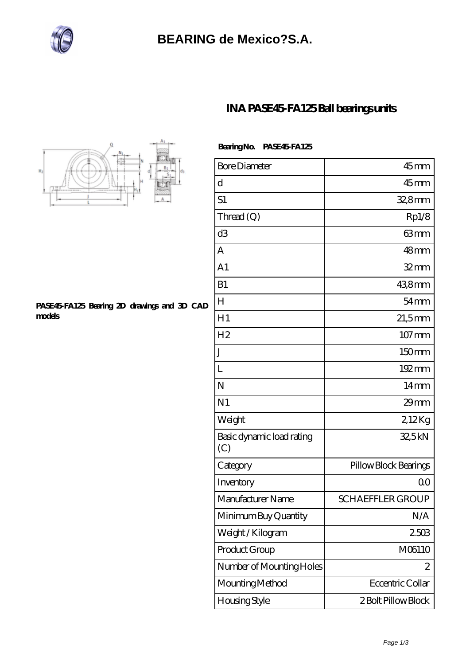

## **[INA PASE45-FA125 Ball bearings units](https://bluewormrecords.com/sell-65113098-ina-pase45-fa125-ball-bearings-units.html)**



## **[PASE45-FA125 Bearing 2D drawings and 3D CAD](https://bluewormrecords.com/pic-65113098.html) [models](https://bluewormrecords.com/pic-65113098.html)**

| Bearing No. PASE45 FA125 |
|--------------------------|
|                          |

| <b>Bore Diameter</b>             | $45$ mm                 |
|----------------------------------|-------------------------|
| d                                | $45$ mm                 |
| S1                               | 32,8mm                  |
| Thread (Q)                       | Rp1/8                   |
| d <sub>3</sub>                   | 63mm                    |
| А                                | 48mm                    |
| A <sub>1</sub>                   | $32$ mm                 |
| B1                               | 438mm                   |
| H                                | $54 \text{mm}$          |
| H1                               | $21,5$ mm               |
| H <sub>2</sub>                   | $107 \,\mathrm{mm}$     |
| J                                | 150mm                   |
| L                                | $192 \,\mathrm{mm}$     |
| N                                | 14 <sub>mm</sub>        |
| N <sub>1</sub>                   | $29$ mm                 |
| Weight                           | 2,12Kg                  |
| Basic dynamic load rating<br>(C) | 32,5kN                  |
| Category                         | Pillow Block Bearings   |
| Inventory                        | 0 <sup>0</sup>          |
| Manufacturer Name                | <b>SCHAEFFLER GROUP</b> |
| Minimum Buy Quantity             | N/A                     |
| Weight / Kilogram                | 2503                    |
| Product Group                    | M06110                  |
| Number of Mounting Holes         | 2                       |
| Mounting Method                  | Eccentric Collar        |
| Housing Style                    | 2 Bolt Pillow Block     |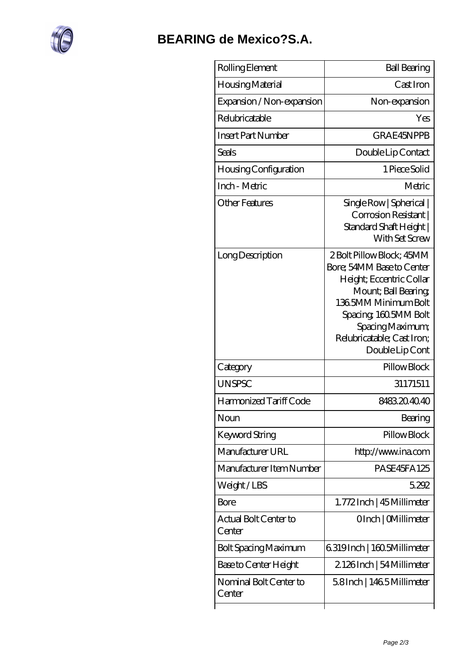

| Rolling Element                  | <b>Ball Bearing</b>                                                                                                                                                                                                             |
|----------------------------------|---------------------------------------------------------------------------------------------------------------------------------------------------------------------------------------------------------------------------------|
| Housing Material                 | Cast Iron                                                                                                                                                                                                                       |
| Expansion / Non-expansion        | Non-expansion                                                                                                                                                                                                                   |
| Relubricatable                   | Yes                                                                                                                                                                                                                             |
| Insert Part Number               | GRAE45NPPB                                                                                                                                                                                                                      |
| Seals                            | Double Lip Contact                                                                                                                                                                                                              |
| Housing Configuration            | 1 Piece Solid                                                                                                                                                                                                                   |
| Inch - Metric                    | Metric                                                                                                                                                                                                                          |
| <b>Other Features</b>            | Single Row   Spherical  <br>Corrosion Resistant  <br>Standard Shaft Height  <br>With Set Screw                                                                                                                                  |
| Long Description                 | 2 Bolt Pillow Block; 45MM<br>Bore; 54MM Base to Center<br>Height; Eccentric Collar<br>Mount; Ball Bearing;<br>1365MM Minimum Bolt<br>Spacing, 160.5MM Bolt<br>Spacing Maximum;<br>Relubricatable; Cast Iron;<br>Double Lip Cont |
| Category                         | Pillow Block                                                                                                                                                                                                                    |
| <b>UNSPSC</b>                    | 31171511                                                                                                                                                                                                                        |
| Harmonized Tariff Code           | 8483204040                                                                                                                                                                                                                      |
| Noun                             | Bearing                                                                                                                                                                                                                         |
| Keyword String                   | Pillow Block                                                                                                                                                                                                                    |
| Manufacturer URL                 | http://www.ina.com                                                                                                                                                                                                              |
| Manufacturer Item Number         | PASE45FA125                                                                                                                                                                                                                     |
| Weight/LBS                       | 5292                                                                                                                                                                                                                            |
| <b>Bore</b>                      | 1.772Inch   45 Millimeter                                                                                                                                                                                                       |
| Actual Bolt Center to<br>Center  | OInch   CMillimeter                                                                                                                                                                                                             |
| <b>Bolt Spacing Maximum</b>      | 6319Inch   160.5Millimeter                                                                                                                                                                                                      |
| Base to Center Height            | 2126Inch   54 Millimeter                                                                                                                                                                                                        |
| Nominal Bolt Center to<br>Center | 58Inch   1465Millimeter                                                                                                                                                                                                         |
|                                  |                                                                                                                                                                                                                                 |